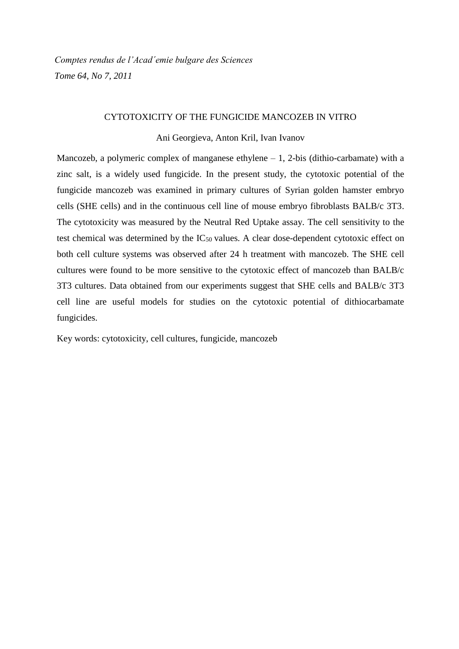*Comptes rendus de l'Acad´emie bulgare des Sciences Tome 64, No 7, 2011*

#### CYTOTOXICITY OF THE FUNGICIDE MANCOZEB IN VITRO

Ani Georgieva, Anton Kril, Ivan Ivanov

Mancozeb, a polymeric complex of manganese ethylene  $-1$ , 2-bis (dithio-carbamate) with a zinc salt, is a widely used fungicide. In the present study, the cytotoxic potential of the fungicide mancozeb was examined in primary cultures of Syrian golden hamster embryo cells (SHE cells) and in the continuous cell line of mouse embryo fibroblasts BALB/c 3T3. The cytotoxicity was measured by the Neutral Red Uptake assay. The cell sensitivity to the test chemical was determined by the  $IC_{50}$  values. A clear dose-dependent cytotoxic effect on both cell culture systems was observed after 24 h treatment with mancozeb. The SHE cell cultures were found to be more sensitive to the cytotoxic effect of mancozeb than BALB/c 3T3 cultures. Data obtained from our experiments suggest that SHE cells and BALB/c 3T3 cell line are useful models for studies on the cytotoxic potential of dithiocarbamate fungicides.

Key words: cytotoxicity, cell cultures, fungicide, mancozeb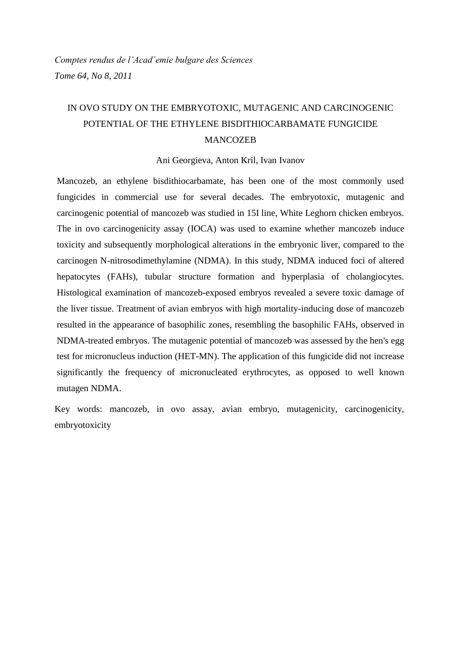## IN OVO STUDY ON THE EMBRYOTOXIC, MUTAGENIC AND CARCINOGENIC POTENTIAL OF THE ETHYLENE BISDITHIOCARBAMATE FUNGICIDE MANCOZEB

#### Ani Georgieva, Anton Kril, Ivan Ivanov

Mancozeb, an ethylene bisdithiocarbamate, has been one of the most commonly used fungicides in commercial use for several decades. The embryotoxic, mutagenic and carcinogenic potential of mancozeb was studied in 15I line, White Leghorn chicken embryos. The in ovo carcinogenicity assay (IOCA) was used to examine whether mancozeb induce toxicity and subsequently morphological alterations in the embryonic liver, compared to the carcinogen N-nitrosodimethylamine (NDMA). In this study, NDMA induced foci of altered hepatocytes (FAHs), tubular structure formation and hyperplasia of cholangiocytes. Histological examination of mancozeb-exposed embryos revealed a severe toxic damage of the liver tissue. Treatment of avian embryos with high mortality-inducing dose of mancozeb resulted in the appearance of basophilic zones, resembling the basophilic FAHs, observed in NDMA-treated embryos. The mutagenic potential of mancozeb was assessed by the hen's egg test for micronucleus induction (HET-MN). The application of this fungicide did not increase significantly the frequency of micronucleated erythrocytes, as opposed to well known mutagen NDMA.

Key words: mancozeb, in ovo assay, avian embryo, mutagenicity, carcinogenicity, embryotoxicity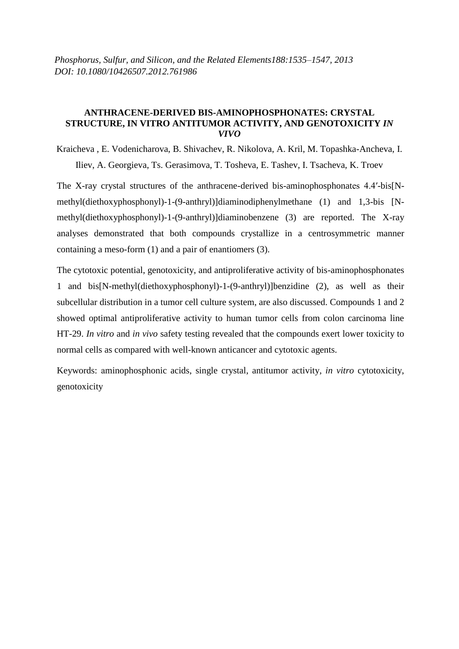*Phosphorus, Sulfur, and Silicon, and the Related Elements188:1535–1547, 2013 DOI: 10.1080/10426507.2012.761986*

#### **ANTHRACENE-DERIVED BIS-AMINOPHOSPHONATES: CRYSTAL STRUCTURE, IN VITRO ANTITUMOR ACTIVITY, AND GENOTOXICITY** *IN VIVO*

Kraicheva , E. Vodenicharova, B. Shivachev, R. Nikolova, A. Kril, M. Topashka-Ancheva, I. Iliev, A. Georgieva, Ts. Gerasimova, T. Tosheva, E. Tashev, I. Tsacheva, K. Troev

The X-ray crystal structures of the anthracene-derived bis-aminophosphonates 4.4′-bis[Nmethyl(diethoxyphosphonyl)-1-(9-anthryl)]diaminodiphenylmethane (1) and 1,3-bis [Nmethyl(diethoxyphosphonyl)-1-(9-anthryl)]diaminobenzene (3) are reported. The X-ray analyses demonstrated that both compounds crystallize in a centrosymmetric manner containing a meso-form (1) and a pair of enantiomers (3).

The cytotoxic potential, genotoxicity, and antiproliferative activity of bis-aminophosphonates 1 and bis[N-methyl(diethoxyphosphonyl)-1-(9-anthryl)]benzidine (2), as well as their subcellular distribution in a tumor cell culture system, are also discussed. Compounds 1 and 2 showed optimal antiproliferative activity to human tumor cells from colon carcinoma line HT-29. *In vitro* and *in vivo* safety testing revealed that the compounds exert lower toxicity to normal cells as compared with well-known anticancer and cytotoxic agents.

Keywords: аminophosphonic acids, single crystal, antitumor activity, *in vitro* cytotoxicity, genotoxicity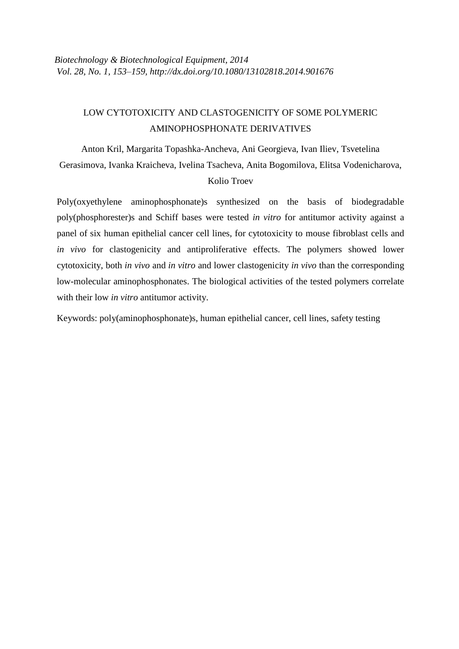## LOW CYTOTOXICITY AND CLASTOGENICITY OF SOME POLYMERIC AMINOPHOSPHONATE DERIVATIVES

Anton Kril, Margarita Topashka-Ancheva, Ani Georgieva, Ivan Iliev, Tsvetelina Gerasimova, Ivanka Kraicheva, Ivelina Tsacheva, Anita Bogomilova, Elitsa Vodenicharova, Kolio Troev

Poly(oxyethylene aminophosphonate)s synthesized on the basis of biodegradable poly(phosphorester)s and Schiff bases were tested *in vitro* for antitumor activity against a panel of six human epithelial cancer cell lines, for cytotoxicity to mouse fibroblast cells and *in vivo* for clastogenicity and antiproliferative effects. The polymers showed lower cytotoxicity, both *in vivo* and *in vitro* and lower clastogenicity *in vivo* than the corresponding low-molecular aminophosphonates. The biological activities of the tested polymers correlate with their low *in vitro* antitumor activity.

Keywords: poly(aminophosphonate)s, human epithelial cancer, cell lines, safety testing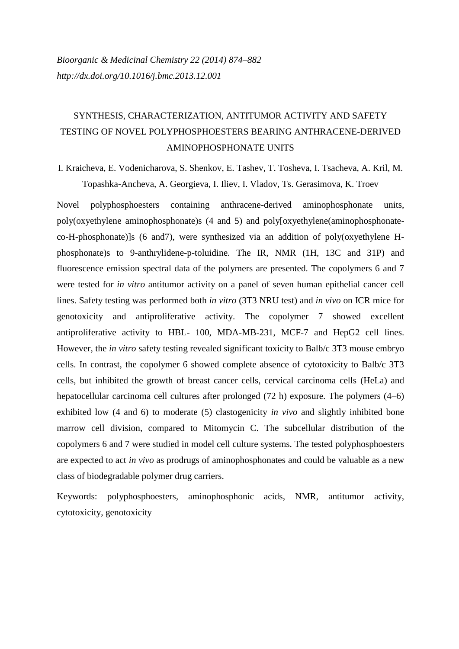## SYNTHESIS, CHARACTERIZATION, ANTITUMOR ACTIVITY AND SAFETY TESTING OF NOVEL POLYPHOSPHOESTERS BEARING ANTHRACENE-DERIVED AMINOPHOSPHONATE UNITS

I. Kraicheva, E. Vodenicharova, S. Shenkov, E. Tashev, T. Tosheva, I. Tsacheva, A. Kril, M. Topashka-Ancheva, A. Georgieva, I. Iliev, I. Vladov, Ts. Gerasimova, K. Troev

Novel polyphosphoesters containing anthracene-derived aminophosphonate units, poly(oxyethylene aminophosphonate)s (4 and 5) and poly[oxyethylene(aminophosphonateco-H-phosphonate)]s (6 and7), were synthesized via an addition of poly(oxyethylene Hphosphonate)s to 9-anthrylidene-p-toluidine. The IR, NMR (1H, 13C and 31P) and fluorescence emission spectral data of the polymers are presented. The copolymers 6 and 7 were tested for *in vitro* antitumor activity on a panel of seven human epithelial cancer cell lines. Safety testing was performed both *in vitro* (3T3 NRU test) and *in vivo* on ICR mice for genotoxicity and antiproliferative activity. The copolymer 7 showed excellent antiproliferative activity to HBL- 100, MDA-MB-231, MCF-7 and HepG2 cell lines. However, the *in vitro* safety testing revealed significant toxicity to Balb/c 3T3 mouse embryo cells. In contrast, the copolymer 6 showed complete absence of cytotoxicity to Balb/c 3T3 cells, but inhibited the growth of breast cancer cells, cervical carcinoma cells (HeLa) and hepatocellular carcinoma cell cultures after prolonged (72 h) exposure. The polymers (4–6) exhibited low (4 and 6) to moderate (5) clastogenicity *in vivo* and slightly inhibited bone marrow cell division, compared to Mitomycin C. The subcellular distribution of the copolymers 6 and 7 were studied in model cell culture systems. The tested polyphosphoesters are expected to act *in vivo* as prodrugs of aminophosphonates and could be valuable as a new class of biodegradable polymer drug carriers.

Keywords: polyphosphoesters, aminophosphonic acids, NMR, antitumor activity, cytotoxicity, genotoxicity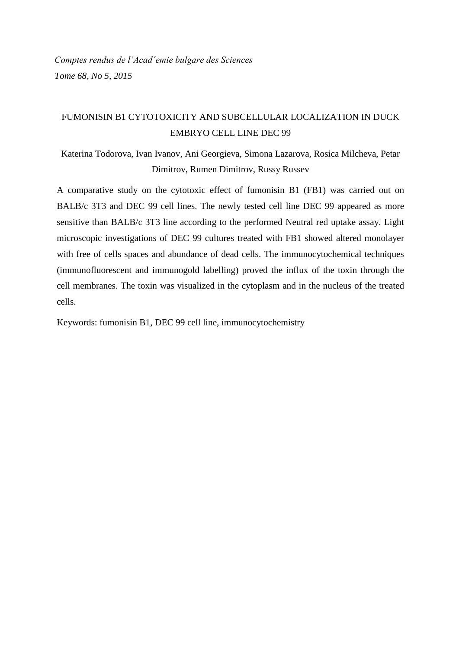### FUMONISIN B1 CYTOTOXICITY AND SUBCELLULAR LOCALIZATION IN DUCK EMBRYO CELL LINE DEC 99

Katerina Todorova, Ivan Ivanov, Ani Georgieva, Simona Lazarova, Rosica Milcheva, Petar Dimitrov, Rumen Dimitrov, Russy Russev

A comparative study on the cytotoxic effect of fumonisin B1 (FB1) was carried out on BALB/c 3T3 and DEC 99 cell lines. The newly tested cell line DEC 99 appeared as more sensitive than BALB/c 3T3 line according to the performed Neutral red uptake assay. Light microscopic investigations of DEC 99 cultures treated with FB1 showed altered monolayer with free of cells spaces and abundance of dead cells. The immunocytochemical techniques (immunofluorescent and immunogold labelling) proved the influx of the toxin through the cell membranes. The toxin was visualized in the cytoplasm and in the nucleus of the treated cells.

Keywords: fumonisin B1, DEC 99 cell line, immunocytochemistry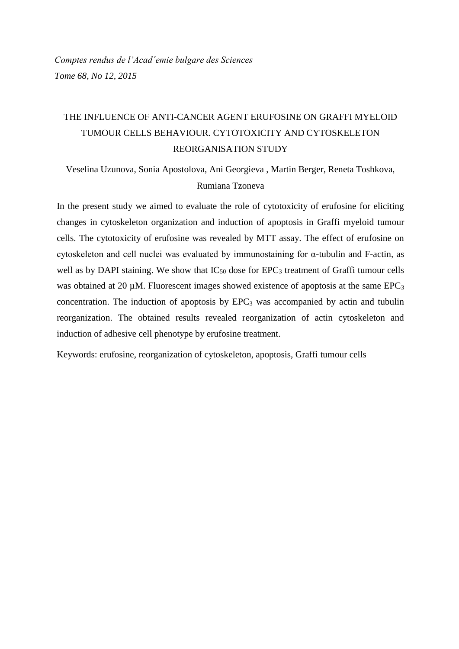## THE INFLUENCE OF ANTI-CANCER AGENT ERUFOSINE ON GRAFFI MYELOID TUMOUR CELLS BEHAVIOUR. CYTOTOXICITY AND CYTOSKELETON REORGANISATION STUDY

Veselina Uzunova, Sonia Apostolova, Ani Georgieva , Martin Berger, Reneta Toshkova, Rumiana Tzoneva

In the present study we aimed to evaluate the role of cytotoxicity of erufosine for eliciting changes in cytoskeleton organization and induction of apoptosis in Graffi myeloid tumour cells. The cytotoxicity of erufosine was revealed by MTT assay. The effect of erufosine on cytoskeleton and cell nuclei was evaluated by immunostaining for α-tubulin and F-actin, as well as by DAPI staining. We show that  $IC_{50}$  dose for  $EPC_3$  treatment of Graffi tumour cells was obtained at 20  $\mu$ M. Fluorescent images showed existence of apoptosis at the same EPC<sub>3</sub> concentration. The induction of apoptosis by  $EPC<sub>3</sub>$  was accompanied by actin and tubulin reorganization. The obtained results revealed reorganization of actin cytoskeleton and induction of adhesive cell phenotype by erufosine treatment.

Keywords: erufosine, reorganization of cytoskeleton, apoptosis, Graffi tumour cells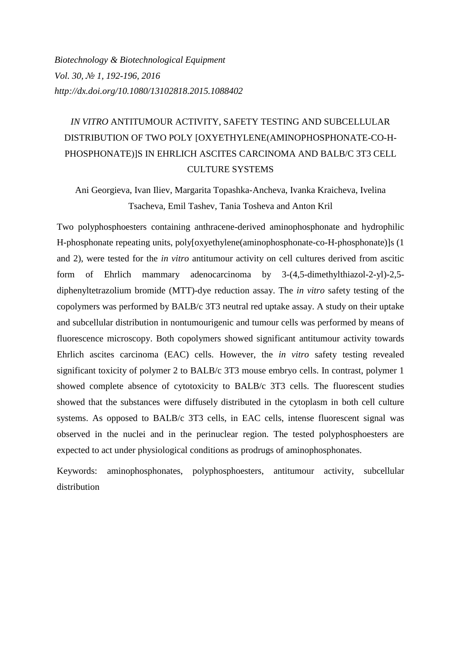*Biotechnology & Biotechnological Equipment Vol. 30, № 1, 192-196, 2016 <http://dx.doi.org/10.1080/13102818.2015.1088402>*

# *IN VITRO* ANTITUMOUR ACTIVITY, SAFETY TESTING AND SUBCELLULAR DISTRIBUTION OF TWO POLY [OXYETHYLENE(AMINOPHOSPHONATE-CO-H-PHOSPHONATE)]S IN EHRLICH ASCITES CARCINOMA AND BALB/C 3T3 CELL CULTURE SYSTEMS

Ani Georgieva, Ivan Iliev, Margarita Topashka-Ancheva, Ivanka Kraicheva, Ivelina Tsacheva, Emil Tashev, Tania Tosheva and Anton Kril

Two polyphosphoesters containing anthracene-derived aminophosphonate and hydrophilic H-phosphonate repeating units, poly[oxyethylene(aminophosphonate-co-H-phosphonate)]s (1 and 2), were tested for the *in vitro* antitumour activity on cell cultures derived from ascitic form of Ehrlich mammary adenocarcinoma by 3-(4,5-dimethylthiazol-2-yl)-2,5 diphenyltetrazolium bromide (MTT)-dye reduction assay. The *in vitro* safety testing of the copolymers was performed by BALB/c 3T3 neutral red uptake assay. A study on their uptake and subcellular distribution in nontumourigenic and tumour cells was performed by means of fluorescence microscopy. Both copolymers showed significant antitumour activity towards Ehrlich ascites carcinoma (EAC) cells. However, the *in vitro* safety testing revealed significant toxicity of polymer 2 to BALB/c 3T3 mouse embryo cells. In contrast, polymer 1 showed complete absence of cytotoxicity to BALB/c 3T3 cells. The fluorescent studies showed that the substances were diffusely distributed in the cytoplasm in both cell culture systems. As opposed to BALB/c 3T3 cells, in EAC cells, intense fluorescent signal was observed in the nuclei and in the perinuclear region. The tested polyphosphoesters are expected to act under physiological conditions as prodrugs of aminophosphonates.

Keywords: aminophosphonates, polyphosphoesters, antitumour activity, subcellular distribution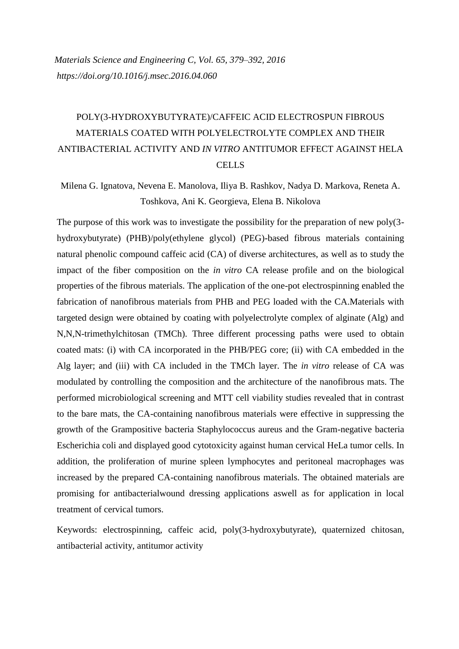# POLY(3-HYDROXYBUTYRATE)/CAFFEIC ACID ELECTROSPUN FIBROUS MATERIALS COATED WITH POLYELECTROLYTE COMPLEX AND THEIR ANTIBACTERIAL ACTIVITY AND *IN VITRO* ANTITUMOR EFFECT AGAINST HELA **CELLS**

Milena G. Ignatova, Nevena E. Manolova, Iliya B. Rashkov, Nadya D. Markova, Reneta A. Toshkova, Ani K. Georgieva, Elena B. Nikolova

The purpose of this work was to investigate the possibility for the preparation of new poly(3 hydroxybutyrate) (PHB)/poly(ethylene glycol) (PEG)-based fibrous materials containing natural phenolic compound caffeic acid (CA) of diverse architectures, as well as to study the impact of the fiber composition on the *in vitro* CA release profile and on the biological properties of the fibrous materials. The application of the one-pot electrospinning enabled the fabrication of nanofibrous materials from PHB and PEG loaded with the CA.Materials with targeted design were obtained by coating with polyelectrolyte complex of alginate (Alg) and N,N,N-trimethylchitosan (TMCh). Three different processing paths were used to obtain coated mats: (i) with CA incorporated in the PHB/PEG core; (ii) with CA embedded in the Alg layer; and (iii) with CA included in the TMCh layer. The *in vitro* release of CA was modulated by controlling the composition and the architecture of the nanofibrous mats. The performed microbiological screening and MTT cell viability studies revealed that in contrast to the bare mats, the CA-containing nanofibrous materials were effective in suppressing the growth of the Grampositive bacteria Staphylococcus aureus and the Gram-negative bacteria Escherichia coli and displayed good cytotoxicity against human cervical HeLa tumor cells. In addition, the proliferation of murine spleen lymphocytes and peritoneal macrophages was increased by the prepared CA-containing nanofibrous materials. The obtained materials are promising for antibacterialwound dressing applications aswell as for application in local treatment of cervical tumors.

Keywords: electrospinning, caffeic acid, poly(3-hydroxybutyrate), quaternized chitosan, antibacterial activity, antitumor activity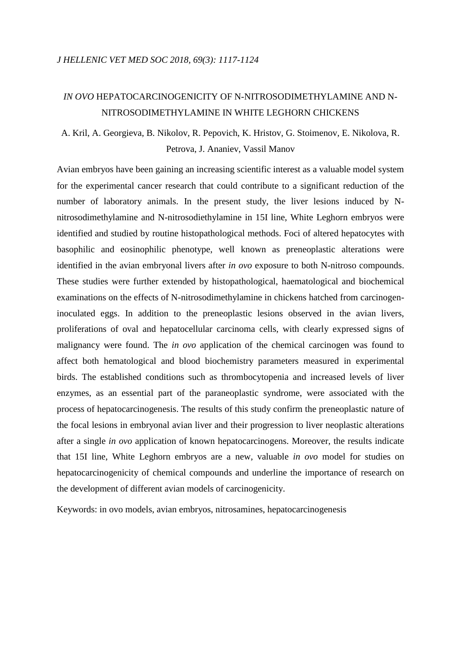#### *IN OVO* HEPATOCARCINOGENICITY OF N-NITROSODIMETHYLAMINE AND N-NITROSODIMETHYLAMINE IN WHITE LEGHORN CHICKENS

## A. Kril, A. Georgieva, B. Nikolov, R. Pepovich, K. Hristov, G. Stoimenov, E. Nikolova, R. Petrova, J. Ananiev, Vassil Manov

Avian embryos have been gaining an increasing scientific interest as a valuable model system for the experimental cancer research that could contribute to a significant reduction of the number of laboratory animals. In the present study, the liver lesions induced by Nnitrosodimethylamine and N-nitrosodiethylamine in 15I line, White Leghorn embryos were identified and studied by routine histopathological methods. Foci of altered hepatocytes with basophilic and eosinophilic phenotype, well known as preneoplastic alterations were identified in the avian embryonal livers after *in ovo* exposure to both N-nitroso compounds. These studies were further extended by histopathological, haematological and biochemical examinations on the effects of N-nitrosodimethylamine in chickens hatched from carcinogeninoculated eggs. In addition to the preneoplastic lesions observed in the avian livers, proliferations of oval and hepatocellular carcinoma cells, with clearly expressed signs of malignancy were found. The *in ovo* application of the chemical carcinogen was found to affect both hematological and blood biochemistry parameters measured in experimental birds. The established conditions such as thrombocytopenia and increased levels of liver enzymes, as an essential part of the paraneoplastic syndrome, were associated with the process of hepatocarcinogenesis. The results of this study confirm the preneoplastic nature of the focal lesions in embryonal avian liver and their progression to liver neoplastic alterations after a single *in ovo* application of known hepatocarcinogens. Moreover, the results indicate that 15I line, White Leghorn embryos are a new, valuable *in ovo* model for studies on hepatocarcinogenicity of chemical compounds and underline the importance of research on the development of different avian models of carcinogenicity.

Keywords: in ovo models, avian embryos, nitrosamines, hepatocarcinogenesis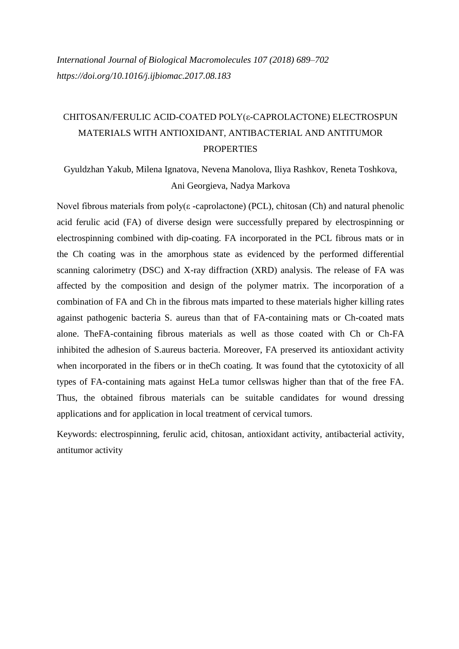## CHITOSAN/FERULIC ACID-COATED POLY(ε-CAPROLACTONE) ELECTROSPUN MATERIALS WITH ANTIOXIDANT, ANTIBACTERIAL AND ANTITUMOR **PROPERTIES**

Gyuldzhan Yakub, Milena Ignatova, Nevena Manolova, Iliya Rashkov, Reneta Toshkova, Ani Georgieva, Nadya Markova

Novel fibrous materials from  $poly(\varepsilon$ -caprolactone) (PCL), chitosan (Ch) and natural phenolic acid ferulic acid (FA) of diverse design were successfully prepared by electrospinning or electrospinning combined with dip-coating. FA incorporated in the PCL fibrous mats or in the Ch coating was in the amorphous state as evidenced by the performed differential scanning calorimetry (DSC) and X-ray diffraction (XRD) analysis. The release of FA was affected by the composition and design of the polymer matrix. The incorporation of a combination of FA and Ch in the fibrous mats imparted to these materials higher killing rates against pathogenic bacteria S. aureus than that of FA-containing mats or Ch-coated mats alone. TheFA-containing fibrous materials as well as those coated with Ch or Ch-FA inhibited the adhesion of S.aureus bacteria. Moreover, FA preserved its antioxidant activity when incorporated in the fibers or in theCh coating. It was found that the cytotoxicity of all types of FA-containing mats against HeLa tumor cellswas higher than that of the free FA. Thus, the obtained fibrous materials can be suitable candidates for wound dressing applications and for application in local treatment of cervical tumors.

Keywords: electrospinning, ferulic acid, chitosan, antioxidant activity, antibacterial activity, antitumor activity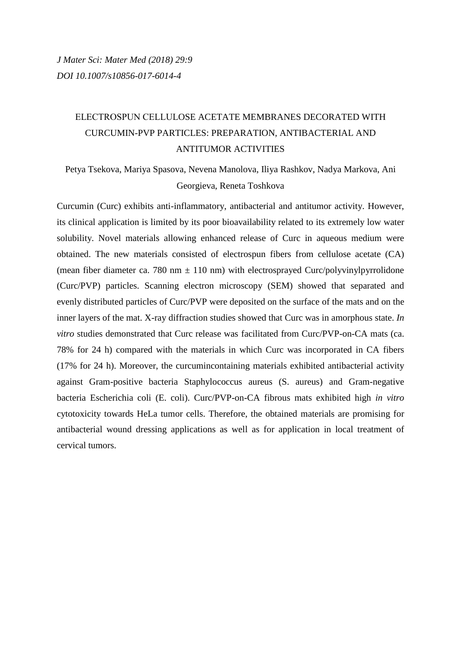## ЕLECTROSPUN СELLULOSE ACETATE MEMBRANES DECORATED WITH CURCUMIN-PVP PARTICLES: PREPARATION, ANTIBACTERIAL AND ANTITUMOR ACTIVITIES

Petya Tsekova, Mariya Spasova, Nevena Manolova, Iliya Rashkov, Nadya Markova, Ani Georgieva, Reneta Toshkova

Curcumin (Curc) exhibits anti-inflammatory, antibacterial and antitumor activity. However, its clinical application is limited by its poor bioavailability related to its extremely low water solubility. Novel materials allowing enhanced release of Curc in aqueous medium were obtained. The new materials consisted of electrospun fibers from cellulose acetate (CA) (mean fiber diameter ca. 780 nm  $\pm$  110 nm) with electrosprayed Curc/polyvinylpyrrolidone (Curc/PVP) particles. Scanning electron microscopy (SEM) showed that separated and evenly distributed particles of Curc/PVP were deposited on the surface of the mats and on the inner layers of the mat. X-ray diffraction studies showed that Curc was in amorphous state. *In vitro* studies demonstrated that Curc release was facilitated from Curc/PVP-on-CA mats (ca. 78% for 24 h) compared with the materials in which Curc was incorporated in CA fibers (17% for 24 h). Moreover, the curcumincontaining materials exhibited antibacterial activity against Gram-positive bacteria Staphylococcus aureus (S. aureus) and Gram-negative bacteria Escherichia coli (E. coli). Curc/PVP-on-CA fibrous mats exhibited high *in vitro* cytotoxicity towards HeLa tumor cells. Therefore, the obtained materials are promising for antibacterial wound dressing applications as well as for application in local treatment of cervical tumors.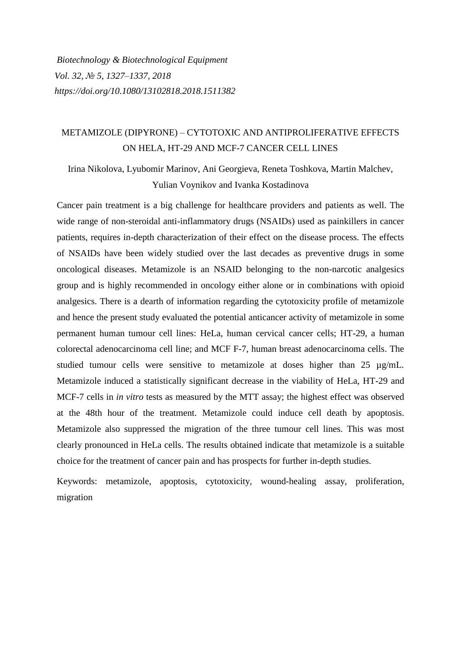*Biotechnology & Biotechnological Equipment Vol. 32, № 5, 1327–1337, 2018 <https://doi.org/10.1080/13102818.2018.1511382>*

### METAMIZOLE (DIPYRONE) – CYTOTOXIC AND ANTIPROLIFERATIVE EFFECTS ON HELA, HT-29 AND MCF-7 CANCER CELL LINES

Irina Nikolova, Lyubomir Marinov, Ani Georgieva, Reneta Toshkova, Martin Malchev, Yulian Voynikov and Ivanka Kostadinova

Cancer pain treatment is a big challenge for healthcare providers and patients as well. The wide range of non-steroidal anti-inflammatory drugs (NSAIDs) used as painkillers in cancer patients, requires in-depth characterization of their effect on the disease process. The effects of NSAIDs have been widely studied over the last decades as preventive drugs in some oncological diseases. Metamizole is an NSAID belonging to the non-narcotic analgesics group and is highly recommended in oncology either alone or in combinations with opioid analgesics. There is a dearth of information regarding the cytotoxicity profile of metamizole and hence the present study evaluated the potential anticancer activity of metamizole in some permanent human tumour cell lines: HeLa, human cervical cancer cells; HT-29, a human colorectal adenocarcinoma cell line; and MCF F-7, human breast adenocarcinoma cells. The studied tumour cells were sensitive to metamizole at doses higher than 25 µg/mL. Metamizole induced a statistically significant decrease in the viability of HeLa, HT-29 and MCF-7 cells in *in vitro* tests as measured by the MTT assay; the highest effect was observed at the 48th hour of the treatment. Metamizole could induce cell death by apoptosis. Metamizole also suppressed the migration of the three tumour cell lines. This was most clearly pronounced in HeLa cells. The results obtained indicate that metamizole is a suitable choice for the treatment of cancer pain and has prospects for further in-depth studies.

Keywords: metamizole, apoptosis, cytotoxicity, wound-healing assay, proliferation, migration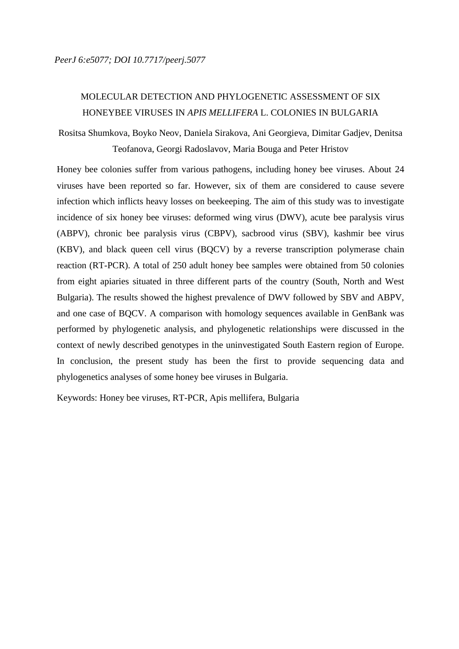### MOLECULAR DETECTION AND PHYLOGENETIC ASSESSMENT OF SIX HONEYBEE VIRUSES IN *APIS MELLIFERA* L. COLONIES IN BULGARIA

Rositsa Shumkova, Boyko Neov, Daniela Sirakova, Ani Georgieva, Dimitar Gadjev, Denitsa Teofanova, Georgi Radoslavov, Maria Bouga and Peter Hristov

Honey bee colonies suffer from various pathogens, including honey bee viruses. About 24 viruses have been reported so far. However, six of them are considered to cause severe infection which inflicts heavy losses on beekeeping. The aim of this study was to investigate incidence of six honey bee viruses: deformed wing virus (DWV), acute bee paralysis virus (ABPV), chronic bee paralysis virus (CBPV), sacbrood virus (SBV), kashmir bee virus (KBV), and black queen cell virus (BQCV) by a reverse transcription polymerase chain reaction (RT-PCR). A total of 250 adult honey bee samples were obtained from 50 colonies from eight apiaries situated in three different parts of the country (South, North and West Bulgaria). The results showed the highest prevalence of DWV followed by SBV and ABPV, and one case of BQCV. A comparison with homology sequences available in GenBank was performed by phylogenetic analysis, and phylogenetic relationships were discussed in the context of newly described genotypes in the uninvestigated South Eastern region of Europe. In conclusion, the present study has been the first to provide sequencing data and phylogenetics analyses of some honey bee viruses in Bulgaria.

Keywords: Honey bee viruses, RT-PCR, Apis mellifera, Bulgaria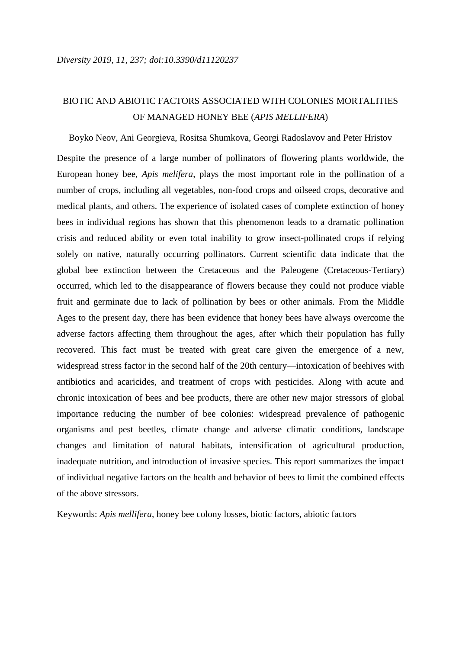### BIOTIC AND ABIOTIC FACTORS ASSOCIATED WITH COLONIES MORTALITIES OF MANAGED HONEY BEE (*APIS MELLIFERA*)

Boyko Neov, Ani Georgieva, Rositsa Shumkova, Georgi Radoslavov and Peter Hristov

Despite the presence of a large number of pollinators of flowering plants worldwide, the European honey bee, *Apis melifera*, plays the most important role in the pollination of a number of crops, including all vegetables, non-food crops and oilseed crops, decorative and medical plants, and others. The experience of isolated cases of complete extinction of honey bees in individual regions has shown that this phenomenon leads to a dramatic pollination crisis and reduced ability or even total inability to grow insect-pollinated crops if relying solely on native, naturally occurring pollinators. Current scientific data indicate that the global bee extinction between the Cretaceous and the Paleogene (Cretaceous-Tertiary) occurred, which led to the disappearance of flowers because they could not produce viable fruit and germinate due to lack of pollination by bees or other animals. From the Middle Ages to the present day, there has been evidence that honey bees have always overcome the adverse factors affecting them throughout the ages, after which their population has fully recovered. This fact must be treated with great care given the emergence of a new, widespread stress factor in the second half of the 20th century—intoxication of beehives with antibiotics and acaricides, and treatment of crops with pesticides. Along with acute and chronic intoxication of bees and bee products, there are other new major stressors of global importance reducing the number of bee colonies: widespread prevalence of pathogenic organisms and pest beetles, climate change and adverse climatic conditions, landscape changes and limitation of natural habitats, intensification of agricultural production, inadequate nutrition, and introduction of invasive species. This report summarizes the impact of individual negative factors on the health and behavior of bees to limit the combined effects of the above stressors.

Keywords: *Apis mellifera*, honey bee colony losses, biotic factors, abiotic factors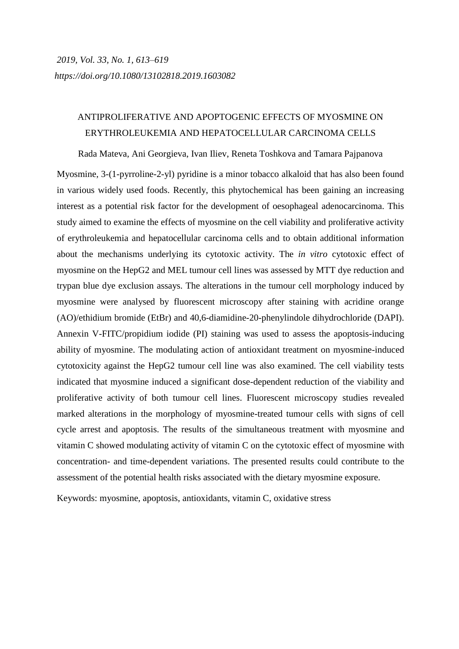#### ANTIPROLIFERATIVE AND APOPTOGENIC EFFECTS OF MYOSMINE ON ERYTHROLEUKEMIA AND HEPATOCELLULAR CARCINOMA CELLS

Rada Mateva, Ani Georgieva, Ivan Iliev, Reneta Toshkova and Tamara Pajpanova

Myosmine, 3-(1-pyrroline-2-yl) pyridine is a minor tobacco alkaloid that has also been found in various widely used foods. Recently, this phytochemical has been gaining an increasing interest as a potential risk factor for the development of oesophageal adenocarcinoma. This study aimed to examine the effects of myosmine on the cell viability and proliferative activity of erythroleukemia and hepatocellular carcinoma cells and to obtain additional information about the mechanisms underlying its cytotoxic activity. The *in vitro* cytotoxic effect of myosmine on the HepG2 and MEL tumour cell lines was assessed by MTT dye reduction and trypan blue dye exclusion assays. The alterations in the tumour cell morphology induced by myosmine were analysed by fluorescent microscopy after staining with acridine orange (AO)/ethidium bromide (EtBr) and 40,6-diamidine-20-phenylindole dihydrochloride (DAPI). Annexin V-FITC/propidium iodide (PI) staining was used to assess the apoptosis-inducing ability of myosmine. The modulating action of antioxidant treatment on myosmine-induced cytotoxicity against the HepG2 tumour cell line was also examined. The cell viability tests indicated that myosmine induced a significant dose-dependent reduction of the viability and proliferative activity of both tumour cell lines. Fluorescent microscopy studies revealed marked alterations in the morphology of myosmine-treated tumour cells with signs of cell cycle arrest and apoptosis. The results of the simultaneous treatment with myosmine and vitamin C showed modulating activity of vitamin C on the cytotoxic effect of myosmine with concentration- and time-dependent variations. The presented results could contribute to the assessment of the potential health risks associated with the dietary myosmine exposure.

Keywords: myosmine, apoptosis, antioxidants, vitamin C, oxidative stress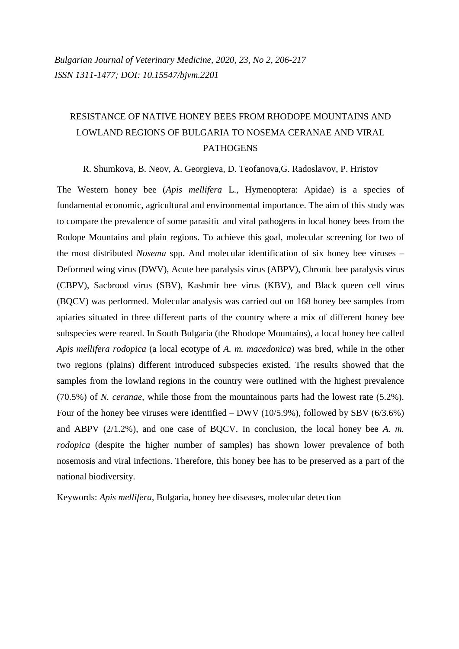## RESISTANCE OF NATIVE HONEY BEES FROM RHODOPE MOUNTAINS AND LOWLAND REGIONS OF BULGARIA TO NOSEMA CERANAE AND VIRAL **PATHOGENS**

R. Shumkova, B. Neov, A. Georgieva, D. Teofanova,G. Radoslavov, P. Hristov

The Western honey bee (*Apis mellifera* L., Hymenoptera: Apidae) is a species of fundamental economic, agricultural and environmental importance. The aim of this study was to compare the prevalence of some parasitic and viral pathogens in local honey bees from the Rodope Mountains and plain regions. To achieve this goal, molecular screening for two of the most distributed *Nosema* spp. And molecular identification of six honey bee viruses – Deformed wing virus (DWV), Acute bee paralysis virus (ABPV), Chronic bee paralysis virus (CBPV), Sacbrood virus (SBV), Kashmir bee virus (KBV), and Black queen cell virus (BQCV) was performed. Molecular analysis was carried out on 168 honey bee samples from apiaries situated in three different parts of the country where a mix of different honey bee subspecies were reared. In South Bulgaria (the Rhodope Mountains), a local honey bee called *Apis mellifera rodopica* (a local ecotype of *A. m. macedonica*) was bred, while in the other two regions (plains) different introduced subspecies existed. The results showed that the samples from the lowland regions in the country were outlined with the highest prevalence (70.5%) of *N. ceranae*, while those from the mountainous parts had the lowest rate (5.2%). Four of the honey bee viruses were identified – DWV (10/5.9%), followed by SBV (6/3.6%) and ABPV (2/1.2%), and one case of BQCV. In conclusion, the local honey bee *A. m. rodopica* (despite the higher number of samples) has shown lower prevalence of both nosemosis and viral infections. Therefore, this honey bee has to be preserved as a part of the national biodiversity.

Keywords: *Apis mellifera*, Bulgaria, honey bee diseases, molecular detection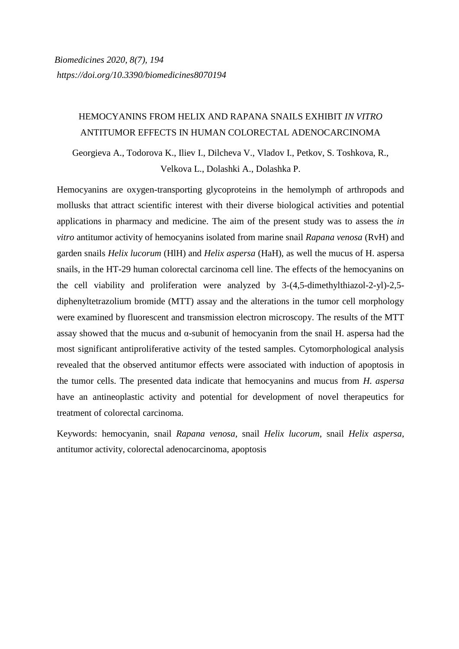#### HEMOCYANINS FROM HELIX AND RAPANA SNAILS EXHIBIT *IN VITRO* ANTITUMOR EFFECTS IN HUMAN COLORECTAL ADENOCARCINOMA

Georgieva A., Todorova K., Iliev I., Dilcheva V., Vladov I., Petkov, S. Toshkova, R., Velkova L., Dolashki A., Dolashka P.

Hemocyanins are oxygen-transporting glycoproteins in the hemolymph of arthropods and mollusks that attract scientific interest with their diverse biological activities and potential applications in pharmacy and medicine. The aim of the present study was to assess the *in vitro* antitumor activity of hemocyanins isolated from marine snail *Rapana venosa* (RvH) and garden snails *Helix lucorum* (HlH) and *Helix aspersa* (HaH), as well the mucus of H. aspersa snails, in the HT-29 human colorectal carcinoma cell line. The effects of the hemocyanins on the cell viability and proliferation were analyzed by 3-(4,5-dimethylthiazol-2-yl)-2,5 diphenyltetrazolium bromide (MTT) assay and the alterations in the tumor cell morphology were examined by fluorescent and transmission electron microscopy. The results of the MTT assay showed that the mucus and α-subunit of hemocyanin from the snail H. aspersa had the most significant antiproliferative activity of the tested samples. Cytomorphological analysis revealed that the observed antitumor effects were associated with induction of apoptosis in the tumor cells. The presented data indicate that hemocyanins and mucus from *H. aspersa* have an antineoplastic activity and potential for development of novel therapeutics for treatment of colorectal carcinoma.

Keywords: hemocyanin, snail *Rapana venosa*, snail *Helix lucorum*, snail *Helix aspersa*, antitumor activity, colorectal adenocarcinoma, apoptosis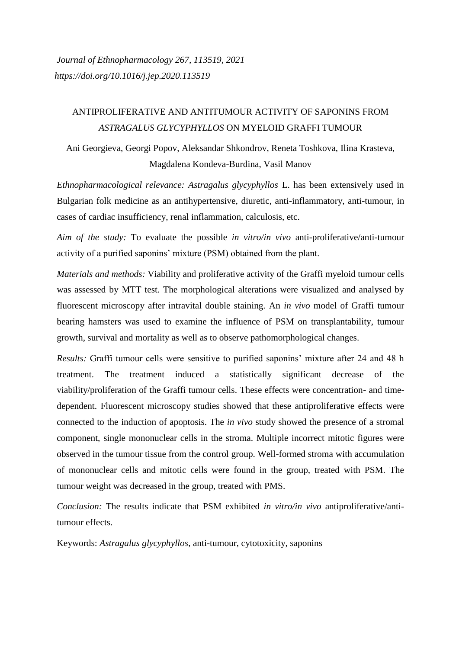### ANTIPROLIFERATIVE AND ANTITUMOUR ACTIVITY OF SAPONINS FROM *ASTRAGALUS GLYCYPHYLLOS* ON MYELOID GRAFFI TUMOUR

Ani Georgieva, Georgi Popov, Aleksandar Shkondrov, Reneta Toshkova, Ilina Krasteva, Magdalena Kondeva-Burdina, Vasil Manov

*Ethnopharmacological relevance: Astragalus glycyphyllos* L. has been extensively used in Bulgarian folk medicine as an antihypertensive, diuretic, anti-inflammatory, anti-tumour, in cases of cardiac insufficiency, renal inflammation, calculosis, etc.

*Aim of the study:* To evaluate the possible *in vitro/in vivo* anti-proliferative/anti-tumour activity of a purified saponins' mixture (PSM) obtained from the plant.

*Materials and methods:* Viability and proliferative activity of the Graffi myeloid tumour cells was assessed by MTT test. The morphological alterations were visualized and analysed by fluorescent microscopy after intravital double staining. An *in vivo* model of Graffi tumour bearing hamsters was used to examine the influence of PSM on transplantability, tumour growth, survival and mortality as well as to observe pathomorphological changes.

*Results:* Graffi tumour cells were sensitive to purified saponins' mixture after 24 and 48 h treatment. The treatment induced a statistically significant decrease of the viability/proliferation of the Graffi tumour cells. These effects were concentration- and timedependent. Fluorescent microscopy studies showed that these antiproliferative effects were connected to the induction of apoptosis. The *in vivo* study showed the presence of a stromal component, single mononuclear cells in the stroma. Multiple incorrect mitotic figures were observed in the tumour tissue from the control group. Well-formed stroma with accumulation of mononuclear cells and mitotic cells were found in the group, treated with PSM. The tumour weight was decreased in the group, treated with PMS.

*Conclusion:* The results indicate that PSM exhibited *in vitro/in vivo* antiproliferative/antitumour effects.

Keywords: *Astragalus glycyphyllos*, anti-tumour, cytotoxicity, saponins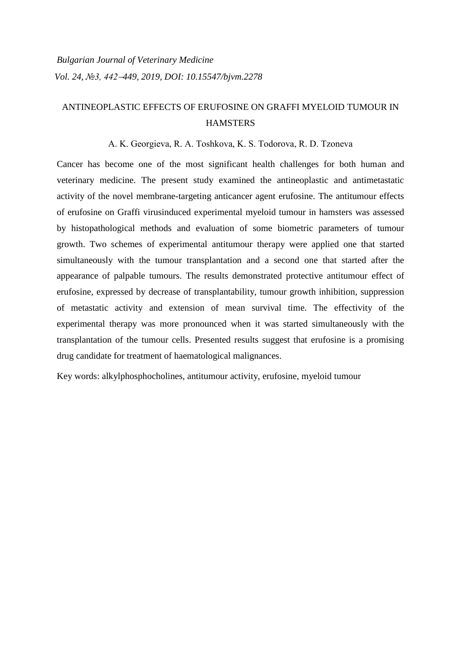### ANTINEOPLASTIC EFFECTS OF ERUFOSINE ON GRAFFI MYELOID TUMOUR IN **HAMSTERS**

#### A. K. Georgieva, R. A. Toshkova, K. S. Todorova, R. D. Tzonevа

Cancer has become one of the most significant health challenges for both human and veterinary medicine. The present study examined the antineoplastic and antimetastatic activity of the novel membrane-targeting anticancer agent erufosine. The antitumour effects of erufosine on Graffi virusinduced experimental myeloid tumour in hamsters was assessed by histopathological methods and evaluation of some biometric parameters of tumour growth. Two schemes of experimental antitumour therapy were applied one that started simultaneously with the tumour transplantation and a second one that started after the appearance of palpable tumours. The results demonstrated protective antitumour effect of erufosine, expressed by decrease of transplantability, tumour growth inhibition, suppression of metastatic activity and extension of mean survival time. The effectivity of the experimental therapy was more pronounced when it was started simultaneously with the transplantation of the tumour cells. Presented results suggest that erufosine is a promising drug candidate for treatment of haematological malignances.

Key words: alkylphosphocholines, antitumour activity, erufosine, myeloid tumour